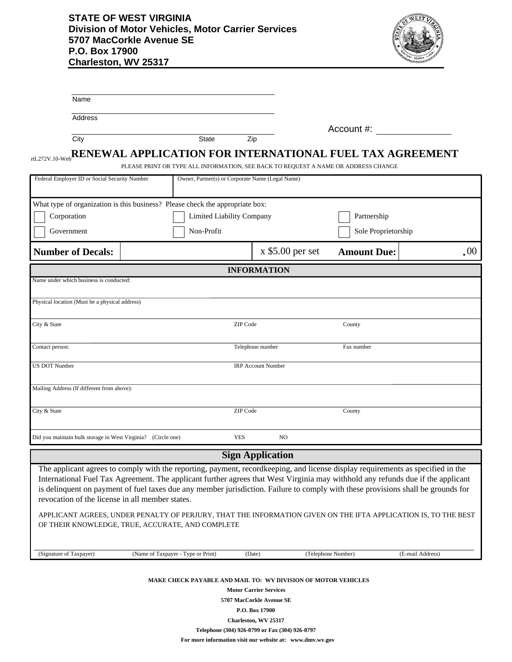## **STATE OF WEST VIRGINIA Division of Motor Vehicles, Motor Carrier Services 5707 MacCorkle Avenue SE P.O. Box 17900 Charleston, WV 25317**



| Name                                                                          |                                                                                                                                                                                                                                                                                                                                                                                                        |            |                                                               |                     |                  |
|-------------------------------------------------------------------------------|--------------------------------------------------------------------------------------------------------------------------------------------------------------------------------------------------------------------------------------------------------------------------------------------------------------------------------------------------------------------------------------------------------|------------|---------------------------------------------------------------|---------------------|------------------|
| <b>Address</b>                                                                |                                                                                                                                                                                                                                                                                                                                                                                                        |            |                                                               |                     |                  |
| City                                                                          | State                                                                                                                                                                                                                                                                                                                                                                                                  |            | Zip                                                           | Account #:          |                  |
|                                                                               | RENEWAL APPLICATION FOR INTERNATIONAL FUEL TAX AGREEMENT                                                                                                                                                                                                                                                                                                                                               |            |                                                               |                     |                  |
| rtL272V.10-Web                                                                | PLEASE PRINT OR TYPE ALL INFORMATION, SEE BACK TO REQUEST A NAME OR ADDRESS CHANGE                                                                                                                                                                                                                                                                                                                     |            |                                                               |                     |                  |
| Federal Employer ID or Social Security Number                                 |                                                                                                                                                                                                                                                                                                                                                                                                        |            | Owner, Partner(s) or Corporate Name (Legal Name)              |                     |                  |
| What type of organization is this business? Please check the appropriate box: |                                                                                                                                                                                                                                                                                                                                                                                                        |            |                                                               |                     |                  |
| Corporation<br>Limited Liability Company                                      |                                                                                                                                                                                                                                                                                                                                                                                                        |            |                                                               | Partnership         |                  |
| Government                                                                    | Non-Profit                                                                                                                                                                                                                                                                                                                                                                                             |            |                                                               | Sole Proprietorship |                  |
| <b>Number of Decals:</b>                                                      |                                                                                                                                                                                                                                                                                                                                                                                                        |            | $x$ \$5.00 per set                                            | <b>Amount Due:</b>  | .00.             |
|                                                                               |                                                                                                                                                                                                                                                                                                                                                                                                        |            | <b>INFORMATION</b>                                            |                     |                  |
| Name under which business is conducted:                                       |                                                                                                                                                                                                                                                                                                                                                                                                        |            |                                                               |                     |                  |
| Physical location (Must be a physical address)                                |                                                                                                                                                                                                                                                                                                                                                                                                        |            |                                                               |                     |                  |
| City & State                                                                  |                                                                                                                                                                                                                                                                                                                                                                                                        | ZIP Code   |                                                               | County              |                  |
|                                                                               |                                                                                                                                                                                                                                                                                                                                                                                                        |            |                                                               |                     |                  |
| Contact person:                                                               |                                                                                                                                                                                                                                                                                                                                                                                                        |            | Telephone number                                              | Fax number          |                  |
| <b>US DOT Number</b>                                                          |                                                                                                                                                                                                                                                                                                                                                                                                        |            | <b>IRP Account Number</b>                                     |                     |                  |
| Mailing Address (If different from above):                                    |                                                                                                                                                                                                                                                                                                                                                                                                        |            |                                                               |                     |                  |
|                                                                               |                                                                                                                                                                                                                                                                                                                                                                                                        |            |                                                               |                     |                  |
| City & State                                                                  |                                                                                                                                                                                                                                                                                                                                                                                                        | ZIP Code   |                                                               | County              |                  |
|                                                                               |                                                                                                                                                                                                                                                                                                                                                                                                        |            |                                                               |                     |                  |
| Did you maintain bulk storage in West Virginia? (Circle one)                  |                                                                                                                                                                                                                                                                                                                                                                                                        | <b>YES</b> | N <sub>O</sub>                                                |                     |                  |
|                                                                               |                                                                                                                                                                                                                                                                                                                                                                                                        |            | <b>Sign Application</b>                                       |                     |                  |
| revocation of the license in all member states.                               | The applicant agrees to comply with the reporting, payment, recordkeeping, and license display requirements as specified in the<br>International Fuel Tax Agreement. The applicant further agrees that West Virginia may withhold any refunds due if the applicant<br>is delinquent on payment of fuel taxes due any member jurisdiction. Failure to comply with these provisions shall be grounds for |            |                                                               |                     |                  |
|                                                                               | APPLICANT AGREES, UNDER PENALTY OF PERJURY, THAT THE INFORMATION GIVEN ON THE IFTA APPLICATION IS, TO THE BEST<br>OF THEIR KNOWLEDGE, TRUE, ACCURATE, AND COMPLETE                                                                                                                                                                                                                                     |            |                                                               |                     |                  |
| (Signature of Taxpayer)                                                       | (Name of Taxpayer - Type or Print)                                                                                                                                                                                                                                                                                                                                                                     |            | (Date)                                                        | (Telephone Number)  | (E-mail Address) |
|                                                                               |                                                                                                                                                                                                                                                                                                                                                                                                        |            | MAKE CHECK PAYABLE AND MAIL TO: WV DIVISION OF MOTOR VEHICLES |                     |                  |

**Motor Carrier Services 5707 MacCorkle Avenue SE P.O. Box 17900 Charleston, WV 25317 Telephone (304) 926-0799 or Fax (304) 926-0797**

**For more information visit our website at: www.dmv.wv.gov**